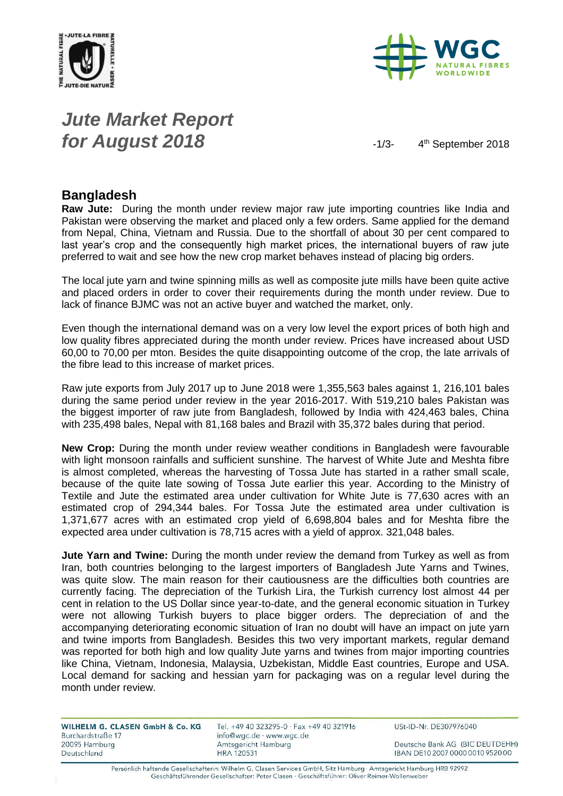



## *Jute Market Report for August 2018*  $-1/3-1$

4<sup>th</sup> September 2018

### **Bangladesh**

**Raw Jute:** During the month under review major raw jute importing countries like India and Pakistan were observing the market and placed only a few orders. Same applied for the demand from Nepal, China, Vietnam and Russia. Due to the shortfall of about 30 per cent compared to last year's crop and the consequently high market prices, the international buyers of raw jute preferred to wait and see how the new crop market behaves instead of placing big orders.

The local jute yarn and twine spinning mills as well as composite jute mills have been quite active and placed orders in order to cover their requirements during the month under review. Due to lack of finance BJMC was not an active buyer and watched the market, only.

Even though the international demand was on a very low level the export prices of both high and low quality fibres appreciated during the month under review. Prices have increased about USD 60,00 to 70,00 per mton. Besides the quite disappointing outcome of the crop, the late arrivals of the fibre lead to this increase of market prices.

Raw jute exports from July 2017 up to June 2018 were 1,355,563 bales against 1, 216,101 bales during the same period under review in the year 2016-2017. With 519,210 bales Pakistan was the biggest importer of raw jute from Bangladesh, followed by India with 424,463 bales, China with 235,498 bales, Nepal with 81,168 bales and Brazil with 35,372 bales during that period.

**New Crop:** During the month under review weather conditions in Bangladesh were favourable with light monsoon rainfalls and sufficient sunshine. The harvest of White Jute and Meshta fibre is almost completed, whereas the harvesting of Tossa Jute has started in a rather small scale, because of the quite late sowing of Tossa Jute earlier this year. According to the Ministry of Textile and Jute the estimated area under cultivation for White Jute is 77,630 acres with an estimated crop of 294,344 bales. For Tossa Jute the estimated area under cultivation is 1,371,677 acres with an estimated crop yield of 6,698,804 bales and for Meshta fibre the expected area under cultivation is 78,715 acres with a yield of approx. 321,048 bales.

**Jute Yarn and Twine:** During the month under review the demand from Turkey as well as from Iran, both countries belonging to the largest importers of Bangladesh Jute Yarns and Twines, was quite slow. The main reason for their cautiousness are the difficulties both countries are currently facing. The depreciation of the Turkish Lira, the Turkish currency lost almost 44 per cent in relation to the US Dollar since year-to-date, and the general economic situation in Turkey were not allowing Turkish buyers to place bigger orders. The depreciation of and the accompanying deteriorating economic situation of Iran no doubt will have an impact on jute yarn and twine imports from Bangladesh. Besides this two very important markets, regular demand was reported for both high and low quality Jute yarns and twines from major importing countries like China, Vietnam, Indonesia, Malaysia, Uzbekistan, Middle East countries, Europe and USA. Local demand for sacking and hessian yarn for packaging was on a regular level during the month under review.

| WILHELM G. CLASEN GmbH & Co. KG<br>Burchardstraße 17 | Tel. +49 40 323295-0 · Fax +49 40 321916<br>info@wgc.de · www.wgc.de | USt-ID-Nr. DE307976040           |
|------------------------------------------------------|----------------------------------------------------------------------|----------------------------------|
| 20095 Hamburg                                        | Amtsgericht Hamburg                                                  | Deutsche Bank AG (BIC DEUTDEHH)  |
| Deutschland                                          | <b>HRA 120531</b>                                                    | IBAN DE10 2007 0000 0010 9520 00 |

Persönlich haftende Gesellschafterin: Wilhelm G. Clasen Services GmbH, Sitz Hamburg · Amtsgericht Hamburg HRB 92992 Geschäftsführender Gesellschafter: Peter Clasen · Geschäftsführer: Oliver Reimer-Wollenweber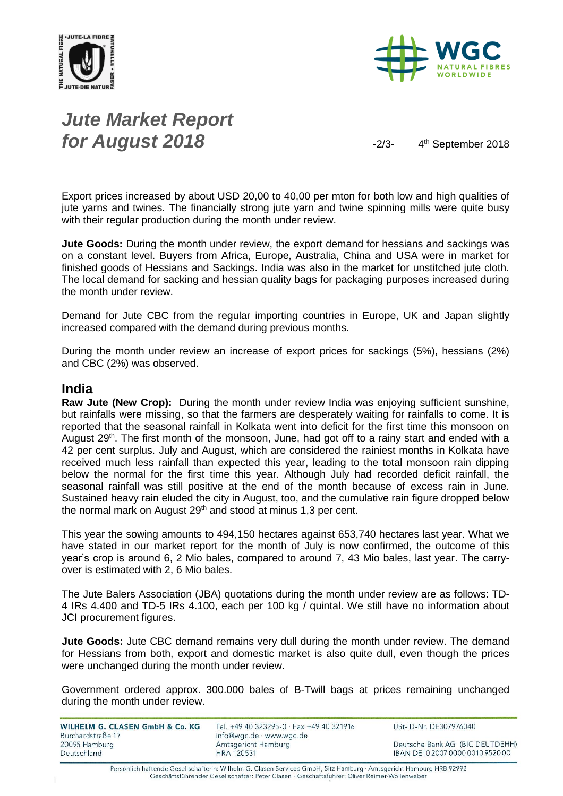



# *Jute Market Report for August 2018*  $\frac{2}{3}$

4<sup>th</sup> September 2018

Export prices increased by about USD 20,00 to 40,00 per mton for both low and high qualities of jute yarns and twines. The financially strong jute yarn and twine spinning mills were quite busy with their regular production during the month under review.

**Jute Goods:** During the month under review, the export demand for hessians and sackings was on a constant level. Buyers from Africa, Europe, Australia, China and USA were in market for finished goods of Hessians and Sackings. India was also in the market for unstitched jute cloth. The local demand for sacking and hessian quality bags for packaging purposes increased during the month under review.

Demand for Jute CBC from the regular importing countries in Europe, UK and Japan slightly increased compared with the demand during previous months.

During the month under review an increase of export prices for sackings (5%), hessians (2%) and CBC (2%) was observed.

### **India**

**Raw Jute (New Crop):** During the month under review India was enjoying sufficient sunshine, but rainfalls were missing, so that the farmers are desperately waiting for rainfalls to come. It is reported that the seasonal rainfall in Kolkata went into deficit for the first time this monsoon on August 29<sup>th</sup>. The first month of the monsoon, June, had got off to a rainy start and ended with a 42 per cent surplus. July and August, which are considered the rainiest months in Kolkata have received much less rainfall than expected this year, leading to the total monsoon rain dipping below the normal for the first time this year. Although July had recorded deficit rainfall, the seasonal rainfall was still positive at the end of the month because of excess rain in June. Sustained heavy rain eluded the city in August, too, and the cumulative rain figure dropped below the normal mark on August  $29<sup>th</sup>$  and stood at minus 1,3 per cent.

This year the sowing amounts to 494,150 hectares against 653,740 hectares last year. What we have stated in our market report for the month of July is now confirmed, the outcome of this year's crop is around 6, 2 Mio bales, compared to around 7, 43 Mio bales, last year. The carryover is estimated with 2, 6 Mio bales.

The Jute Balers Association (JBA) quotations during the month under review are as follows: TD-4 IRs 4.400 and TD-5 IRs 4.100, each per 100 kg / quintal. We still have no information about JCI procurement figures.

**Jute Goods:** Jute CBC demand remains very dull during the month under review. The demand for Hessians from both, export and domestic market is also quite dull, even though the prices were unchanged during the month under review.

Government ordered approx. 300.000 bales of B-Twill bags at prices remaining unchanged during the month under review.

| WILHELM G. CLASEN GmbH & Co. KG | Tel. +49 40 323295-0 · Fax +49 40 321916 | USt-ID-Nr. DE307976040           |
|---------------------------------|------------------------------------------|----------------------------------|
| Burchardstraße 17               | info@wgc.de · www.wgc.de                 |                                  |
| 20095 Hamburg                   | Amtsgericht Hamburg                      | Deutsche Bank AG (BIC DEUTDEHH)  |
| Deutschland                     | HRA 120531                               | IBAN DE10 2007 0000 0010 9520 00 |

Persönlich haftende Gesellschafterin: Wilhelm G. Clasen Services GmbH, Sitz Hamburg · Amtsgericht Hamburg HRB 92992 Geschäftsführender Gesellschafter: Peter Clasen · Geschäftsführer: Oliver Reimer-Wollenweber